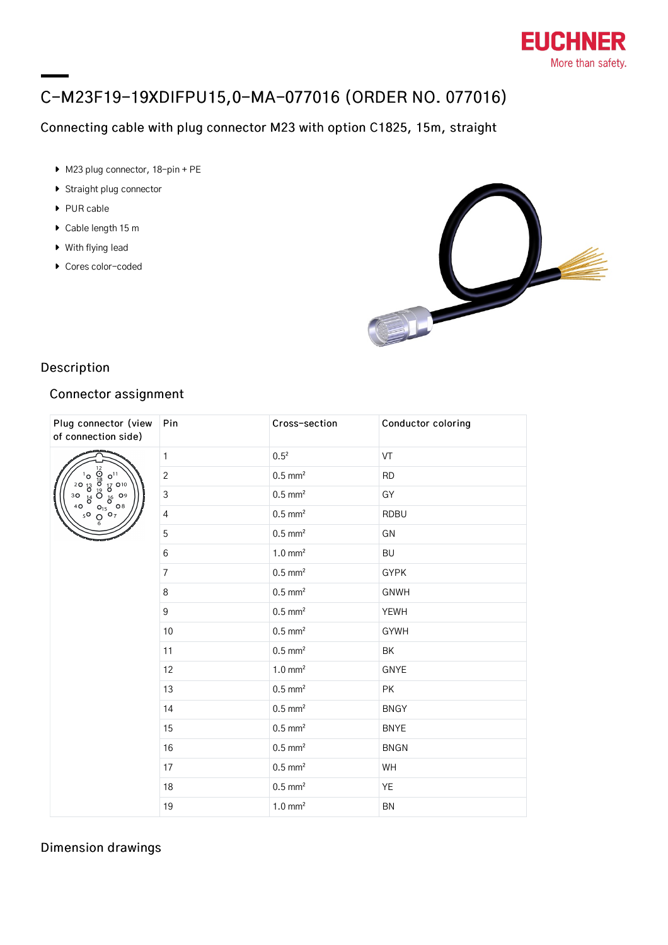

# C-M23F19-19XDIFPU15,0-MA-077016 (ORDER NO. 077016)

# Connecting cable with plug connector M23 with option C1825, 15m, straight

- ▶ M23 plug connector, 18-pin + PE
- **Straight plug connector**
- ▶ PUR cable
- ▶ Cable length 15 m
- With flying lead
- ▶ Cores color-coded



## Description

#### Connector assignment

| Plug connector (view<br>of connection side)                                                                                                                      | Pin            | Cross-section         | Conductor coloring |
|------------------------------------------------------------------------------------------------------------------------------------------------------------------|----------------|-----------------------|--------------------|
| <b>Oso DS</b><br>$0^{11}$<br>$\frac{17}{6}$<br>$0^{10}$<br>$0^{9}$<br>$0^{9}$<br>٥'<br>$\overline{d}$<br>20<br>30<br>$b^4$<br>$Q_6^{15}$ 08<br>4O<br>$5^{\circ}$ | $\mathbf{1}$   | $0.5^{2}$             | VT                 |
|                                                                                                                                                                  | $\sqrt{2}$     | $0.5$ mm <sup>2</sup> | <b>RD</b>          |
|                                                                                                                                                                  | $\mathsf 3$    | $0.5$ mm <sup>2</sup> | GY                 |
|                                                                                                                                                                  | $\sqrt{4}$     | $0.5$ mm <sup>2</sup> | <b>RDBU</b>        |
|                                                                                                                                                                  | 5              | $0.5$ mm <sup>2</sup> | GN                 |
|                                                                                                                                                                  | 6              | $1.0 \text{ mm}^2$    | <b>BU</b>          |
|                                                                                                                                                                  | $\overline{7}$ | $0.5$ mm <sup>2</sup> | <b>GYPK</b>        |
|                                                                                                                                                                  | 8              | $0.5$ mm <sup>2</sup> | <b>GNWH</b>        |
|                                                                                                                                                                  | 9              | $0.5$ mm <sup>2</sup> | <b>YEWH</b>        |
|                                                                                                                                                                  | 10             | $0.5$ mm <sup>2</sup> | <b>GYWH</b>        |
|                                                                                                                                                                  | 11             | $0.5$ mm <sup>2</sup> | BK                 |
|                                                                                                                                                                  | 12             | $1.0 \text{ mm}^2$    | <b>GNYE</b>        |
|                                                                                                                                                                  | 13             | $0.5$ mm <sup>2</sup> | PK                 |
|                                                                                                                                                                  | 14             | $0.5$ mm <sup>2</sup> | <b>BNGY</b>        |
|                                                                                                                                                                  | 15             | $0.5$ mm <sup>2</sup> | <b>BNYE</b>        |
|                                                                                                                                                                  | 16             | $0.5$ mm <sup>2</sup> | <b>BNGN</b>        |
|                                                                                                                                                                  | 17             | $0.5$ mm <sup>2</sup> | WH                 |
|                                                                                                                                                                  | 18             | $0.5$ mm <sup>2</sup> | YE                 |
|                                                                                                                                                                  | 19             | $1.0 \text{ mm}^2$    | BN                 |

### Dimension drawings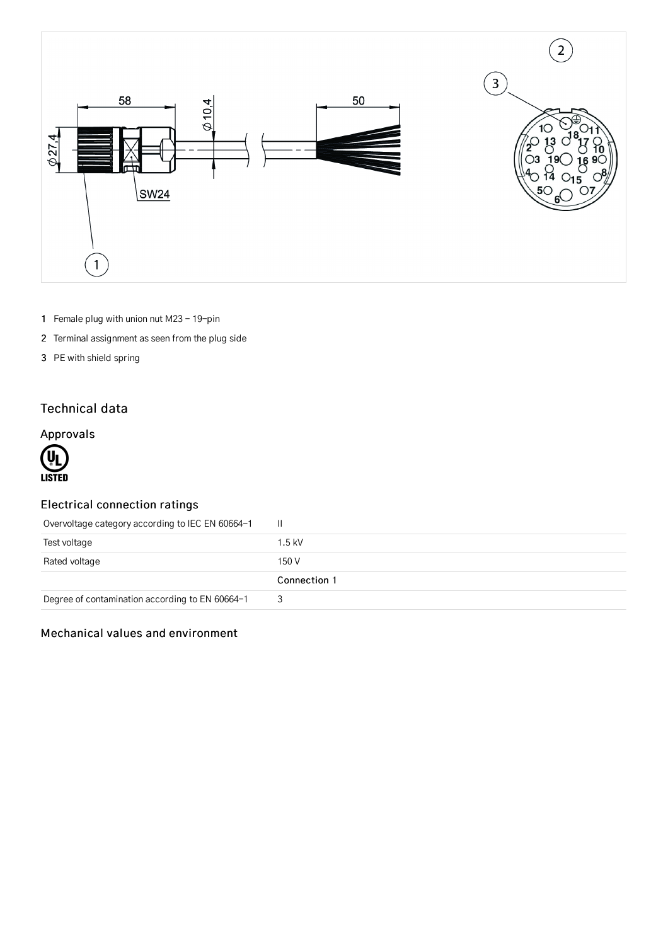

- 1 Female plug with union nut M23 19-pin
- 2 Terminal assignment as seen from the plug side
- 3 PE with shield spring

## Technical data

## Approvals



## Electrical connection ratings

| Overvoltage category according to IEC EN 60664-1 | H.           |
|--------------------------------------------------|--------------|
| Test voltage                                     | $1.5$ kV     |
| Rated voltage                                    | 150 V        |
|                                                  | Connection 1 |
| Degree of contamination according to EN 60664-1  |              |

#### Mechanical values and environment